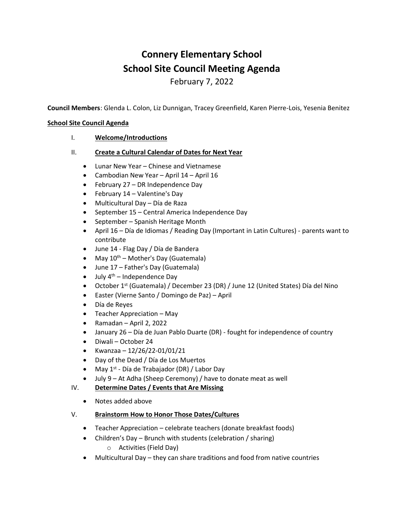# **Connery Elementary School School Site Council Meeting Agenda**

February 7, 2022

**Council Members**: Glenda L. Colon, Liz Dunnigan, Tracey Greenfield, Karen Pierre-Lois, Yesenia Benitez

#### **School Site Council Agenda**

- I. **Welcome/Introductions**
- II. **Create a Cultural Calendar of Dates for Next Year**
	- Lunar New Year Chinese and Vietnamese
	- Cambodian New Year April 14 April 16
	- February 27 DR Independence Day
	- February 14 Valentine's Day
	- Multicultural Day Día de Raza
	- September 15 Central America Independence Day
	- September Spanish Heritage Month
	- April 16 Día de Idiomas / Reading Day (Important in Latin Cultures) parents want to contribute
	- June 14 Flag Day / Día de Bandera
	- May  $10^{th}$  Mother's Day (Guatemala)
	- June 17 Father's Day (Guatemala)
	- July  $4^{th}$  Independence Day
	- October 1st (Guatemala) / December 23 (DR) / June 12 (United States) Día del Nino
	- Easter (Vierne Santo / Domingo de Paz) April
	- Día de Reyes
	- Teacher Appreciation May
	- Ramadan April 2, 2022
	- January 26 Día de Juan Pablo Duarte (DR) fought for independence of country
	- Diwali October 24
	- Kwanzaa 12/26/22-01/01/21
	- Day of the Dead / Día de Los Muertos
	- May 1<sup>st</sup> Día de Trabajador (DR) / Labor Day
	- July 9 At Adha (Sheep Ceremony) / have to donate meat as well

### IV. **Determine Dates / Events that Are Missing**

• Notes added above

### V. **Brainstorm How to Honor Those Dates/Cultures**

- Teacher Appreciation celebrate teachers (donate breakfast foods)
- Children's Day Brunch with students (celebration / sharing)
	- o Activities (Field Day)
- Multicultural Day they can share traditions and food from native countries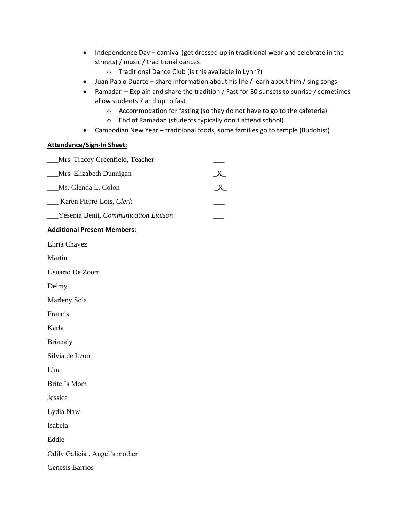- Independence Day carnival (get dressed up in traditional wear and celebrate in the streets) / music / traditional dances
	- o Traditional Dance Club (Is this available in Lynn?)
- Juan Pablo Duarte share information about his life / learn about him / sing songs
- Ramadan Explain and share the tradition / Fast for 30 sunsets to sunrise / sometimes allow students 7 and up to fast
	- o Accommodation for fasting (so they do not have to go to the cafeteria)
	- o End of Ramadan (students typically don't attend school)
- Cambodian New Year traditional foods, some families go to temple (Buddhist)

#### **Attendance/Sign-In Sheet:**

| Mrs. Tracey Greenfield, Teacher             |              |
|---------------------------------------------|--------------|
| Mrs. Elizabeth Dunnigan                     | $\mathbf{X}$ |
| Ms. Glenda L. Colon                         | $\mathbf{X}$ |
| Karen Pierre-Lois, Clerk                    |              |
| <b>Yesenia Benit, Communication Liaison</b> |              |

#### **Additional Present Members:**

Eliria Chavez

Martin

Usuario De Zoom

Delmy

Marleny Sola

Francis

Karla

Brianaly

Silvia de Leon

Lina

Britel's Mom

Jessica

Lydia Naw

Isabela

Eddie

Odily Galicia , Angel's mother

Genesis Barrios